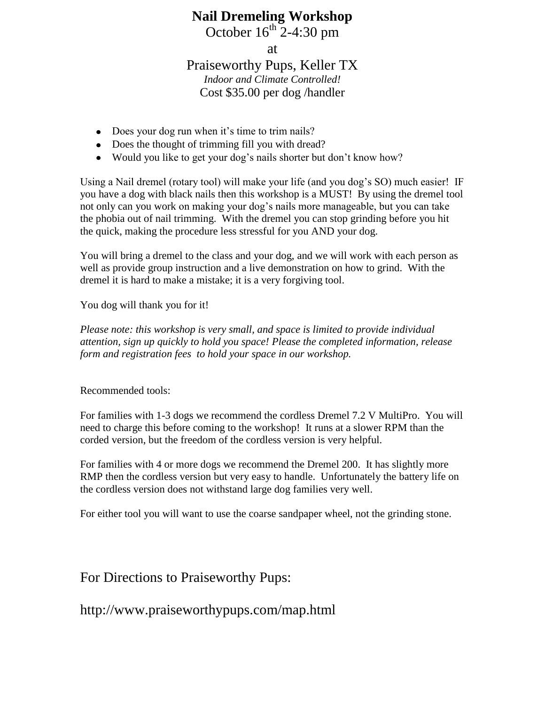## **Nail Dremeling Workshop**

October  $16^{th}$  2-4:30 pm

at

## Praiseworthy Pups, Keller TX

*Indoor and Climate Controlled!* Cost \$35.00 per dog /handler

- Does your dog run when it's time to trim nails?
- Does the thought of trimming fill you with dread?
- Would you like to get your dog's nails shorter but don't know how?

Using a Nail dremel (rotary tool) will make your life (and you dog's SO) much easier! IF you have a dog with black nails then this workshop is a MUST! By using the dremel tool not only can you work on making your dog's nails more manageable, but you can take the phobia out of nail trimming. With the dremel you can stop grinding before you hit the quick, making the procedure less stressful for you AND your dog.

You will bring a dremel to the class and your dog, and we will work with each person as well as provide group instruction and a live demonstration on how to grind. With the dremel it is hard to make a mistake; it is a very forgiving tool.

You dog will thank you for it!

*Please note: this workshop is very small, and space is limited to provide individual attention, sign up quickly to hold you space! Please the completed information, release form and registration fees to hold your space in our workshop.*

Recommended tools:

For families with 1-3 dogs we recommend the cordless Dremel 7.2 V MultiPro. You will need to charge this before coming to the workshop! It runs at a slower RPM than the corded version, but the freedom of the cordless version is very helpful.

For families with 4 or more dogs we recommend the Dremel 200. It has slightly more RMP then the cordless version but very easy to handle. Unfortunately the battery life on the cordless version does not withstand large dog families very well.

For either tool you will want to use the coarse sandpaper wheel, not the grinding stone.

For Directions to Praiseworthy Pups:

http://www.praiseworthypups.com/map.html